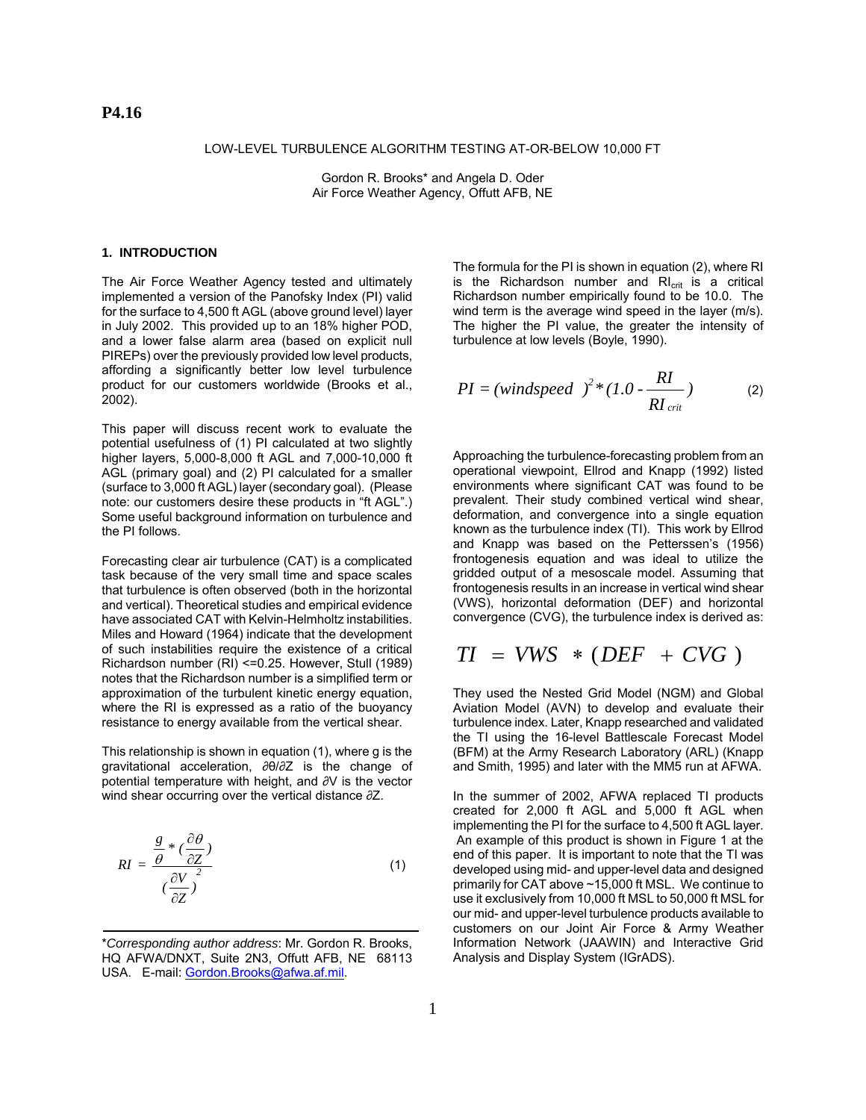### LOW-LEVEL TURBULENCE ALGORITHM TESTING AT-OR-BELOW 10,000 FT

Gordon R. Brooks\* and Angela D. Oder Air Force Weather Agency, Offutt AFB, NE

### **1. INTRODUCTION**

The Air Force Weather Agency tested and ultimately implemented a version of the Panofsky Index (PI) valid for the surface to 4,500 ft AGL (above ground level) layer in July 2002. This provided up to an 18% higher POD, and a lower false alarm area (based on explicit null PIREPs) over the previously provided low level products, affording a significantly better low level turbulence product for our customers worldwide (Brooks et al., 2002).

This paper will discuss recent work to evaluate the potential usefulness of (1) PI calculated at two slightly higher layers, 5,000-8,000 ft AGL and 7,000-10,000 ft AGL (primary goal) and (2) PI calculated for a smaller (surface to 3,000 ft AGL) layer (secondary goal). (Please note: our customers desire these products in "ft AGL".) Some useful background information on turbulence and the PI follows.

Forecasting clear air turbulence (CAT) is a complicated task because of the very small time and space scales that turbulence is often observed (both in the horizontal and vertical). Theoretical studies and empirical evidence have associated CAT with Kelvin-Helmholtz instabilities. Miles and Howard (1964) indicate that the development of such instabilities require the existence of a critical Richardson number (RI) <=0.25. However, Stull (1989) notes that the Richardson number is a simplified term or approximation of the turbulent kinetic energy equation, where the RI is expressed as a ratio of the buoyancy resistance to energy available from the vertical shear.

This relationship is shown in equation (1), where g is the gravitational acceleration, ∂θ/∂Z is the change of potential temperature with height, and ∂V is the vector wind shear occurring over the vertical distance  $\partial Z$ .

$$
RI = \frac{\frac{g}{\theta} * (\frac{\partial \theta}{\partial Z})}{(\frac{\partial V}{\partial Z})^2}
$$
(1)

The formula for the PI is shown in equation (2), where RI is the Richardson number and  $Rl_{crit}$  is a critical Richardson number empirically found to be 10.0. The wind term is the average wind speed in the layer (m/s). The higher the PI value, the greater the intensity of turbulence at low levels (Boyle, 1990).

$$
PI = (windspeed)^{2} * (1.0 - \frac{RI}{RI_{crit}})
$$
 (2)

Approaching the turbulence-forecasting problem from an operational viewpoint, Ellrod and Knapp (1992) listed environments where significant CAT was found to be prevalent. Their study combined vertical wind shear, deformation, and convergence into a single equation known as the turbulence index (TI). This work by Ellrod and Knapp was based on the Petterssen's (1956) frontogenesis equation and was ideal to utilize the gridded output of a mesoscale model. Assuming that frontogenesis results in an increase in vertical wind shear (VWS), horizontal deformation (DEF) and horizontal convergence (CVG), the turbulence index is derived as:

$$
TI = VWS * (DEF + CVG)
$$

They used the Nested Grid Model (NGM) and Global Aviation Model (AVN) to develop and evaluate their turbulence index. Later, Knapp researched and validated the TI using the 16-level Battlescale Forecast Model (BFM) at the Army Research Laboratory (ARL) (Knapp and Smith, 1995) and later with the MM5 run at AFWA.

In the summer of 2002, AFWA replaced TI products created for 2,000 ft AGL and 5,000 ft AGL when implementing the PI for the surface to 4,500 ft AGL layer. An example of this product is shown in Figure 1 at the end of this paper. It is important to note that the TI was developed using mid- and upper-level data and designed primarily for CAT above ~15,000 ft MSL. We continue to use it exclusively from 10,000 ft MSL to 50,000 ft MSL for our mid- and upper-level turbulence products available to customers on our Joint Air Force & Army Weather Information Network (JAAWIN) and Interactive Grid Analysis and Display System (IGrADS).

<sup>\*</sup>*Corresponding author address*: Mr. Gordon R. Brooks, HQ AFWA/DNXT, Suite 2N3, Offutt AFB, NE 68113 USA. E-mail: Gordon.Brooks@afwa.af.mil.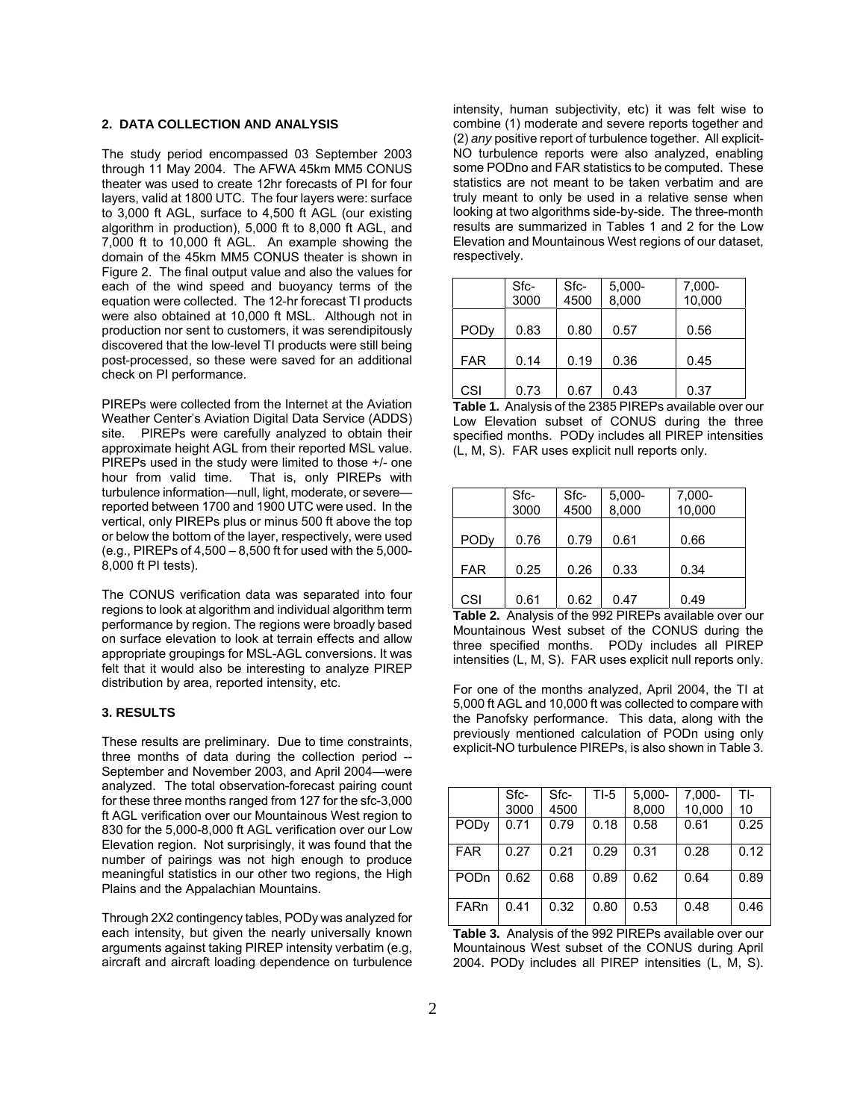# **2. DATA COLLECTION AND ANALYSIS**

The study period encompassed 03 September 2003 through 11 May 2004. The AFWA 45km MM5 CONUS theater was used to create 12hr forecasts of PI for four layers, valid at 1800 UTC. The four layers were: surface to 3,000 ft AGL, surface to 4,500 ft AGL (our existing algorithm in production), 5,000 ft to 8,000 ft AGL, and 7,000 ft to 10,000 ft AGL. An example showing the domain of the 45km MM5 CONUS theater is shown in Figure 2. The final output value and also the values for each of the wind speed and buoyancy terms of the equation were collected. The 12-hr forecast TI products were also obtained at 10,000 ft MSL. Although not in production nor sent to customers, it was serendipitously discovered that the low-level TI products were still being post-processed, so these were saved for an additional check on PI performance.

PIREPs were collected from the Internet at the Aviation Weather Center's Aviation Digital Data Service (ADDS) site. PIREPs were carefully analyzed to obtain their approximate height AGL from their reported MSL value. PIREPs used in the study were limited to those +/- one hour from valid time. That is, only PIREPs with turbulence information—null, light, moderate, or severe reported between 1700 and 1900 UTC were used. In the vertical, only PIREPs plus or minus 500 ft above the top or below the bottom of the layer, respectively, were used (e.g., PIREPs of 4,500 – 8,500 ft for used with the 5,000- 8,000 ft PI tests).

The CONUS verification data was separated into four regions to look at algorithm and individual algorithm term performance by region. The regions were broadly based on surface elevation to look at terrain effects and allow appropriate groupings for MSL-AGL conversions. It was felt that it would also be interesting to analyze PIREP distribution by area, reported intensity, etc.

#### **3. RESULTS**

These results are preliminary. Due to time constraints, three months of data during the collection period -- September and November 2003, and April 2004—were analyzed. The total observation-forecast pairing count for these three months ranged from 127 for the sfc-3,000 ft AGL verification over our Mountainous West region to 830 for the 5,000-8,000 ft AGL verification over our Low Elevation region. Not surprisingly, it was found that the number of pairings was not high enough to produce meaningful statistics in our other two regions, the High Plains and the Appalachian Mountains.

Through 2X2 contingency tables, PODy was analyzed for each intensity, but given the nearly universally known arguments against taking PIREP intensity verbatim (e.g, aircraft and aircraft loading dependence on turbulence intensity, human subjectivity, etc) it was felt wise to combine (1) moderate and severe reports together and (2) *any* positive report of turbulence together. All explicit-NO turbulence reports were also analyzed, enabling some PODno and FAR statistics to be computed. These statistics are not meant to be taken verbatim and are truly meant to only be used in a relative sense when looking at two algorithms side-by-side. The three-month results are summarized in Tables 1 and 2 for the Low Elevation and Mountainous West regions of our dataset, respectively.

|                        | Sfc-<br>3000 | Sfc-<br>4500 | $5,000 -$<br>8,000 | 7,000-<br>10,000 |
|------------------------|--------------|--------------|--------------------|------------------|
| <b>POD<sub>V</sub></b> | 0.83         | 0.80         | 0.57               | 0.56             |
| <b>FAR</b>             | 0.14         | 0.19         | 0.36               | 0.45             |
| CSI                    | 0.73         | 0.67         | 0.43               | 0.37             |

**Table 1.** Analysis of the 2385 PIREPs available over our Low Elevation subset of CONUS during the three specified months. PODy includes all PIREP intensities (L, M, S). FAR uses explicit null reports only.

|                        | Sfc-<br>3000 | Sfc-<br>4500 | $5,000 -$<br>8,000 | 7,000-<br>10,000 |
|------------------------|--------------|--------------|--------------------|------------------|
| <b>POD<sub>V</sub></b> | 0.76         | 0.79         | 0.61               | 0.66             |
| <b>FAR</b>             | 0.25         | 0.26         | 0.33               | 0.34             |
| CSI                    | 0.61         | 0.62         | 0.47               | 0.49             |

**Table 2.** Analysis of the 992 PIREPs available over our Mountainous West subset of the CONUS during the three specified months. PODy includes all PIREP intensities (L, M, S). FAR uses explicit null reports only.

For one of the months analyzed, April 2004, the TI at 5,000 ft AGL and 10,000 ft was collected to compare with the Panofsky performance. This data, along with the previously mentioned calculation of PODn using only explicit-NO turbulence PIREPs, is also shown in Table 3.

|      | Sfc- | Sfc- | $TI-5$ | $5,000-$ | 7,000- | TI-  |
|------|------|------|--------|----------|--------|------|
|      | 3000 | 4500 |        | 8,000    | 10,000 | 10   |
| PODy | 0.71 | 0.79 | 0.18   | 0.58     | 0.61   | 0.25 |
| FAR  | 0.27 | 0.21 | 0.29   | 0.31     | 0.28   | 0.12 |
| PODn | 0.62 | 0.68 | 0.89   | 0.62     | 0.64   | 0.89 |
| FARn | 0.41 | 0.32 | 0.80   | 0.53     | 0.48   | 0.46 |

**Table 3.** Analysis of the 992 PIREPs available over our Mountainous West subset of the CONUS during April 2004. PODy includes all PIREP intensities (L, M, S).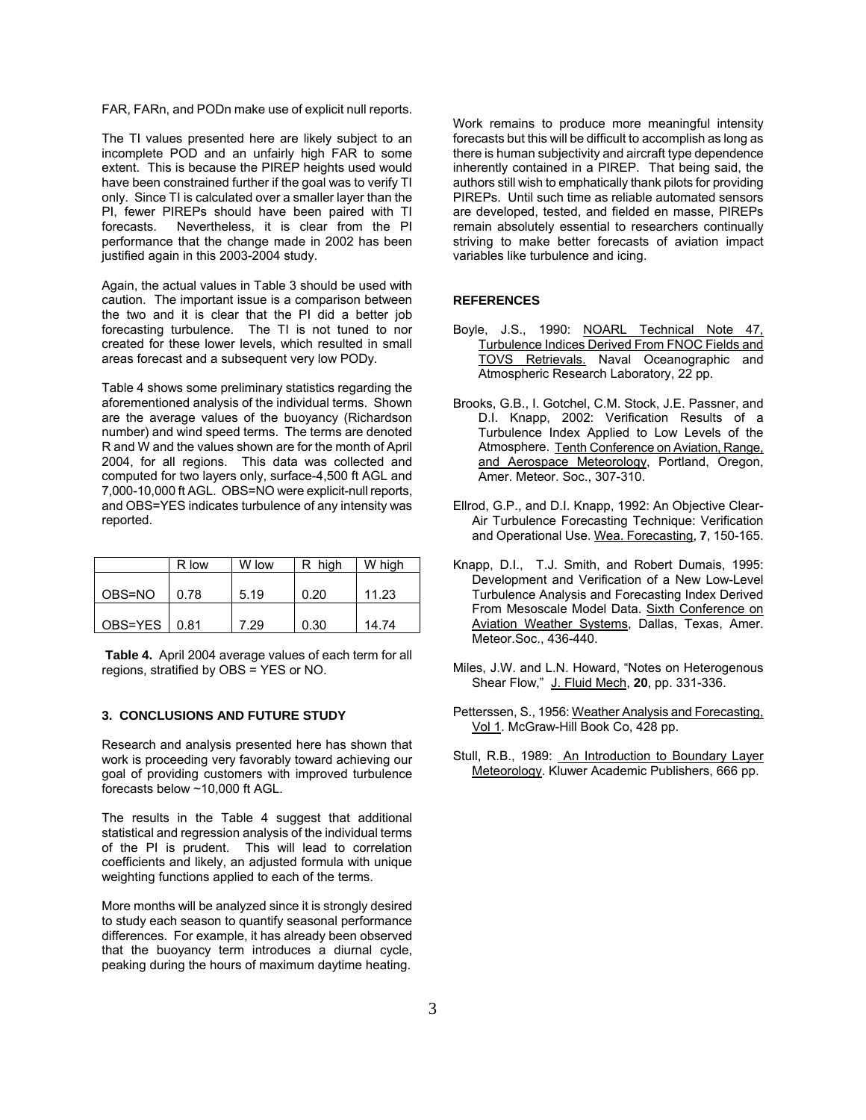FAR, FARn, and PODn make use of explicit null reports.

The TI values presented here are likely subject to an incomplete POD and an unfairly high FAR to some extent. This is because the PIREP heights used would have been constrained further if the goal was to verify TI only. Since TI is calculated over a smaller layer than the PI, fewer PIREPs should have been paired with TI forecasts. Nevertheless, it is clear from the PI performance that the change made in 2002 has been justified again in this 2003-2004 study.

Again, the actual values in Table 3 should be used with caution. The important issue is a comparison between the two and it is clear that the PI did a better job forecasting turbulence. The TI is not tuned to nor created for these lower levels, which resulted in small areas forecast and a subsequent very low PODy.

Table 4 shows some preliminary statistics regarding the aforementioned analysis of the individual terms. Shown are the average values of the buoyancy (Richardson number) and wind speed terms. The terms are denoted R and W and the values shown are for the month of April 2004, for all regions. This data was collected and computed for two layers only, surface-4,500 ft AGL and 7,000-10,000 ft AGL. OBS=NO were explicit-null reports, and OBS=YES indicates turbulence of any intensity was reported.

|         | R low | W low | R high | W high |
|---------|-------|-------|--------|--------|
| OBS=NO  | 0.78  | 5.19  | 0.20   | 11.23  |
| OBS=YES | 0.81  | 7.29  | 0.30   | 14.74  |

**Table 4.** April 2004 average values of each term for all regions, stratified by OBS = YES or NO.

# **3. CONCLUSIONS AND FUTURE STUDY**

Research and analysis presented here has shown that work is proceeding very favorably toward achieving our goal of providing customers with improved turbulence forecasts below ~10,000 ft AGL.

The results in the Table 4 suggest that additional statistical and regression analysis of the individual terms of the PI is prudent. This will lead to correlation coefficients and likely, an adjusted formula with unique weighting functions applied to each of the terms.

More months will be analyzed since it is strongly desired to study each season to quantify seasonal performance differences. For example, it has already been observed that the buoyancy term introduces a diurnal cycle, peaking during the hours of maximum daytime heating.

Work remains to produce more meaningful intensity forecasts but this will be difficult to accomplish as long as there is human subjectivity and aircraft type dependence inherently contained in a PIREP. That being said, the authors still wish to emphatically thank pilots for providing PIREPs. Until such time as reliable automated sensors are developed, tested, and fielded en masse, PIREPs remain absolutely essential to researchers continually striving to make better forecasts of aviation impact variables like turbulence and icing.

#### **REFERENCES**

- Boyle, J.S., 1990: NOARL Technical Note 47, Turbulence Indices Derived From FNOC Fields and TOVS Retrievals. Naval Oceanographic and Atmospheric Research Laboratory, 22 pp.
- Brooks, G.B., I. Gotchel, C.M. Stock, J.E. Passner, and D.I. Knapp, 2002: Verification Results of a Turbulence Index Applied to Low Levels of the Atmosphere. Tenth Conference on Aviation, Range, and Aerospace Meteorology, Portland, Oregon, Amer. Meteor. Soc., 307-310.
- Ellrod, G.P., and D.I. Knapp, 1992: An Objective Clear-Air Turbulence Forecasting Technique: Verification and Operational Use. Wea. Forecasting, **7**, 150-165.
- Knapp, D.I., T.J. Smith, and Robert Dumais, 1995: Development and Verification of a New Low-Level Turbulence Analysis and Forecasting Index Derived From Mesoscale Model Data. Sixth Conference on Aviation Weather Systems, Dallas, Texas, Amer. Meteor.Soc., 436-440.
- Miles, J.W. and L.N. Howard, "Notes on Heterogenous Shear Flow," J. Fluid Mech, **20**, pp. 331-336.
- Petterssen, S., 1956: Weather Analysis and Forecasting, Vol 1. McGraw-Hill Book Co, 428 pp.
- Stull, R.B., 1989: An Introduction to Boundary Layer Meteorology. Kluwer Academic Publishers, 666 pp.